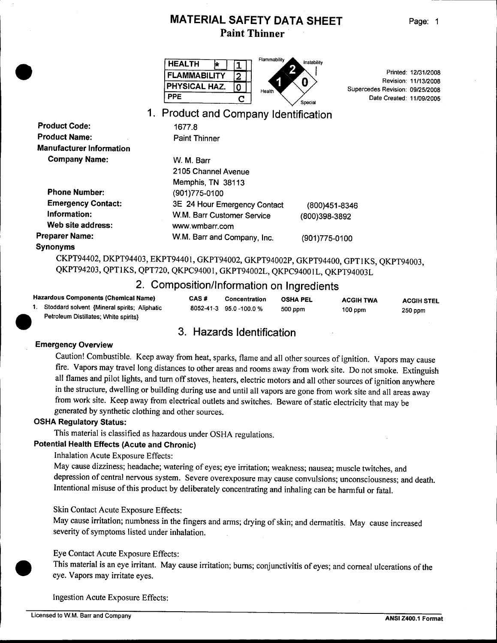| <b>HEALTH</b>        | Flammability<br>Instability |    |
|----------------------|-----------------------------|----|
| <b>FLAMMABILITY</b>  |                             |    |
| <b>PHYSICAL HAZ.</b> | Health                      | S۱ |
| PPE                  | Special                     |    |

Printed: 12/31/2008 Revision: 11/13/2008 upercedes Revision: 09/25/2008 Date Created: 11/09/2005

# 1. Product and Company Identification

| <b>Paint Thinner</b>         |               |
|------------------------------|---------------|
|                              |               |
| W. M. Barr                   |               |
| 2105 Channel Avenue          |               |
| Memphis, TN 38113            |               |
| (901)775-0100                |               |
| 3E 24 Hour Emergency Contact | (800)451-834  |
| W.M. Barr Customer Service   | (800)398-3892 |
| www.wmbarr.com               |               |
| W.M. Barr and Company, Inc.  | (901)775-0100 |
|                              |               |

1677.8

#### Synonyms

Product Code:

**•** 

CKPT94402, DKPT94403, EKPT9440I, GKPT94002, GKPT94002P, GKPT94400, GPTlKS, QKPT94003, QKPT94203, QPTlKS, QPT720, QKPC9400I, GKPT94002L, QKPC9400IL, QKPT94003L

# 2. Composition/Information on Ingredients

|  | <b>Hazardous Components (Chemical Name)</b><br>Stoddard solvent {Mineral spirits; Aliphatic<br>Petroleum Distillates; White spirits} | CAS#<br>8052-41-3 | Concentration<br>95.0 -100.0 % | <b>OSHA PEL</b><br>500 ppm | <b>ACGIH TWA</b><br>$100$ ppm | <b>ACGIH STEL</b><br>250 ppm |
|--|--------------------------------------------------------------------------------------------------------------------------------------|-------------------|--------------------------------|----------------------------|-------------------------------|------------------------------|
|  | 3. Hazards Identification                                                                                                            |                   |                                |                            |                               |                              |
|  | <b>Emergency Overview</b>                                                                                                            |                   |                                |                            |                               |                              |
|  |                                                                                                                                      |                   |                                |                            |                               |                              |

# 3. Hazards Identification

#### Emergency Overview

Caution! Combustible. Keep away from heat, sparks, flame and all other sources of ignition. Vapors may cause fire. Vapors may travel long distances to other areas and rooms away from work site. Do not smoke. Extinguish all flames and pilot lights, and turn off stoves, heaters, electric motors and all other sources of ignition anywhere in the structure, dwelling or building during use and until all vapors are gone from work site and all areas away from work site. Keep away from electrical outlets and switches. Beware of static electricity that may be generated by synthetic clothing and other sources.

#### OSHA Regulatory Status:

This material is classified as hazardous under OSHA regulations.

### Potential Health Effects (Acute and Chronic)

Inhalation Acute Exposure Effects:

May cause dizziness; headache; watering of eyes; eye irritation; weakness; nausea; muscle twitches, and depression of central nervous system. Severe overexposure may cause convulsions; unconsciousness; and death. Intentional misuse of this product by deliberately concentrating and inhaling can be harmful or fatal.

#### Skin Contact Acute Exposure Effects:

May cause irritation; numbness in the fingers and arms; drying of skin; and dermatitis. May cause increased severity of symptoms listed under inhalation.

#### Eye Contact Acute Exposure Effects:

This material is an eye irritant. May cause irritation; burns; conjunctivitis of eyes; and corneal ulcerations of the eye. Vapors may irritate eyes.

Ingestion Acute Exposure Effects:

**•**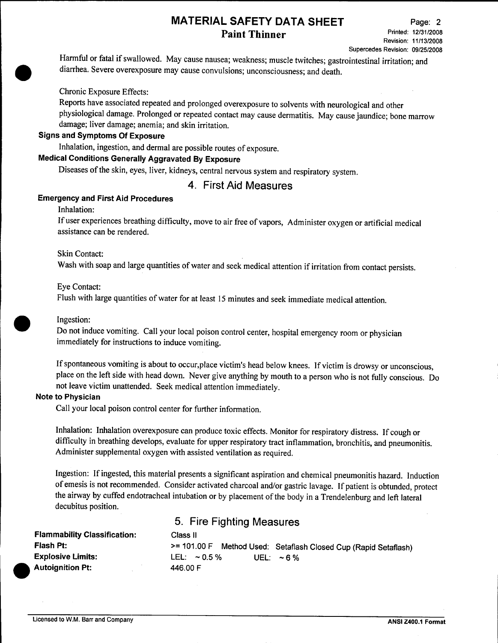Harmful or fatal if swallowed. May cause nausea; weakness; muscle twitches; gastrointestinal irritation; and diarrhea. Severe overexposure may cause convulsions; unconsciousness; and death.

#### Chronic Exposure Effects:

Reports have associated repeated and prolonged overexposure to solvents with neurological and other physiological damage. Prolonged or repeated contact may cause dermatitis. May cause jaundice; bone marrow damage; liver damage; anemia; and skin irritation.

#### Signs and Symptoms Of Exposure

Inhalation, ingestion, and dermal are possible routes of exposure.

## Medical Conditions Generally Aggravated By Exposure

Diseases of the skin, eyes, liver, kidneys, central nervous system and respiratory system.

## 4. First Aid Measures

#### Emergency and First Aid Procedures

Inhalation:

**•** 

If user experiences breathing difficulty, move to air free of vapors, Administer oxygen or artificial medical assistance can be rendered.

#### Skin Contact:

Wash with soap and large quantities of water and seek medical attention if irritation from contact persists.

#### Eye Contact:

Flush with large quantities of water for at least 15 minutes and seek immediate medical attention.

#### Ingestion:

**•** 

Do not induce vomiting. Call your local poison control center, hospital emergency room or physician immediately for instructions to induce vomiting.

If spontaneous vomiting is about to occur,place victim's head below knees. If victim is drowsy or unconscious, place on the left side with head down. Never give anything by mouth to a person who is not fully conscious. Do not leave victim unattended. Seek medical attention immediately.

#### Note to Physician

Call your local poison control center for further information.

Inhalation: Inhalation overexposure can produce toxic effects. Monitor for respiratory distress. If cough or difficulty in breathing develops, evaluate for upper respiratory tract inflammation, bronchitis, and pneumonitis. Administer supplemental oxygen with assisted ventilation as required.

Ingestion: If ingested, this material presents a significant aspiration and chemical pneumonitis hazard. Induction of emesis is not recommended. Consider activated charcoal and/or gastric lavage. If patient is obtunded, protect the airway by cuffed endotracheal intubation or by placement of the body in a Trendelenburg and left lateral decubitus position.

| <b>Flammability Classification:</b> | Class II                                                             |
|-------------------------------------|----------------------------------------------------------------------|
| Flash Pt:                           | $>= 101.00 F$<br>Method Used: Setaflash Closed Cup (Rapid Setaflash) |
| <b>Explosive Limits:</b>            | LEL: $\sim 0.5\%$<br>UEL: $\sim$ 6 %                                 |
| <b>Autoignition Pt:</b>             | 446.00 F                                                             |

5. Fire Fighting Measures

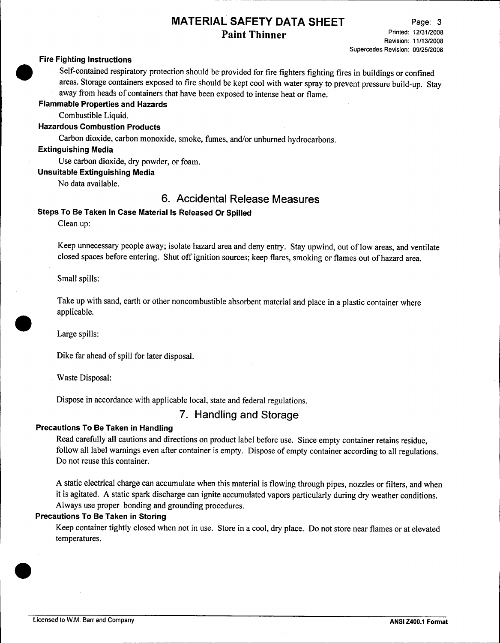#### **Fire Fighting Instructions**

Self-contained respiratory protection should be provided for fire fighters fighting fires in buildings or confined areas. Storage containers exposed to fire should be kept cool with water spray to prevent pressure build-up. Stay away from heads of containers that have been exposed to intense heat or flame.

# **Flammable Properties and Hazards •**

Combustible Liquid.

#### **Hazardous Combustion Products**

Carbon dioxide, carbon monoxide, smoke, fumes, and/or unburned hydrocarbons.

#### **Extinguishing Media**

Use carbon dioxide, dry powder, or foam.

**Unsuitable Extinguishing Media**

No data available.

# 6. **Accidental Release Measures**

#### **Steps To Be Taken In Case** Material Is **Released Or Spilled**

Clean up:

Keep unnecessary people away; isolate hazard area and deny entry. Stay upwind, out of low areas, and ventilate closed spaces before entering. Shut off ignition sources; keep flares, smoking or flames out of hazard area.

Small spills:

Take up with sand, earth or other noncombustible absorbent material and place in a plastic container where applicable.

Large spills:

**•** 

Dike far ahead of spill for later disposal.

Waste Disposal:

Dispose in accordance with applicable local, state and federal regulations.

## 7. **Handling and Storage**

#### **Precautions To Be Taken in Handling**

Read carefully all cautions and directions on product label before use. Since empty container retains residue, follow all label warnings even after container is empty. Dispose of empty container according to all regulations. Do not reuse this container.

A static electrical charge can accumulate when this material is flowing through pipes, nozzles or filters, and when it is agitated. A static spark discharge can ignite accumulated vapors particularly during dry weather conditions. Always use proper bonding and grounding procedures.

#### **Precautions To Be Taken in Storing**

Keep container tightly closed when not in use. Store in a cool, dry place. Do not store near flames or at elevated temperatures.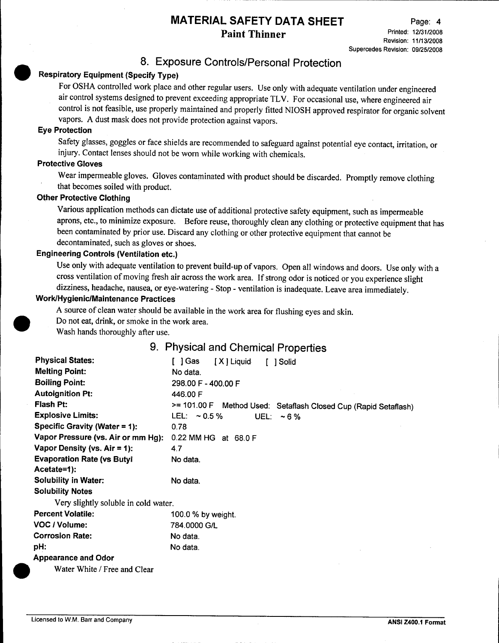# 8. Exposure Controls/Personal Protection

# Respiratory Equipment (Specify Type)

For OSHA controlled work place and other regular users. Use only with adequate ventilation under engineered air control systems designed to prevent exceeding appropriate TLV. For occasional use, where engineered air control is not feasible, use properly maintained and properly fitted NIOSH approved respirator for organic solvent vapors. A dust mask does not provide protection against vapors.

#### Eye Protection

•

Safety glasses, goggles or face shields are recommended to safeguard against potential eye contact, irritation, or injury. Contact lenses should not be worn while working with chemicals.

#### Protective Gloves

Wear impermeable gloves. Gloves contaminated with product should be discarded. Promptly remove clothing that becomes soiled with product.

## Other Protective Clothing

Various application methods can dictate use of additional protective safety equipment, such as impermeable aprons, etc., to minimize exposure. Before reuse, thoroughly clean any clothing or protective equipment that has been contaminated by prior use. Discard any clothing or other protective equipment that cannot be decontaminated, such as gloves or shoes.

#### Engineering Controls (Ventilation etc.)

Use only with adequate ventilation to prevent build-up of vapors. Open all windows and doors. Use only with a cross ventilation of moving fresh air across the work area. If strong odor is noticed or you experience slight dizziness, headache, nausea, or eye-watering - Stop - ventilation is inadequate. Leave area immediately.

#### Work/Hygienic/Maintenance Practices

A source of clean water should be available in the work area for flushing eyes and skin.

Do not eat, drink, or smoke in the work area.

Wash hands thoroughly after use.

## 9. Physical and Chemical Properties

| <b>Physical States:</b>              | [ ]Gas<br>[X] Liquid<br>[ ] Solid                               |
|--------------------------------------|-----------------------------------------------------------------|
| <b>Melting Point:</b>                | No data.                                                        |
| <b>Boiling Point:</b>                | 298.00 F - 400.00 F                                             |
| <b>Autoignition Pt:</b>              | 446.00 F                                                        |
| <b>Flash Pt:</b>                     | >= 101.00 F Method Used: Setaflash Closed Cup (Rapid Setaflash) |
| <b>Explosive Limits:</b>             | LEL: $\sim 0.5 \%$<br>UEL: $\sim$ 6 %                           |
| Specific Gravity (Water = $1$ ):     | 0.78                                                            |
| Vapor Pressure (vs. Air or mm Hg):   | 0.22 MM HG at 68.0 F                                            |
| Vapor Density (vs. $Air = 1$ ):      | 4.7                                                             |
| <b>Evaporation Rate (vs Butyll</b>   | No data.                                                        |
| Acetate=1):                          |                                                                 |
| <b>Solubility in Water:</b>          | No data.                                                        |
| <b>Solubility Notes</b>              |                                                                 |
| Very slightly soluble in cold water. |                                                                 |
| <b>Percent Volatile:</b>             | 100.0 % by weight.                                              |
| VOC / Volume:                        | 784.0000 G/L                                                    |
| <b>Corrosion Rate:</b>               | No data.                                                        |
| pH:                                  | No data.                                                        |
| <b>Appearance and Odor</b>           |                                                                 |
| Water White / Free and Clear         |                                                                 |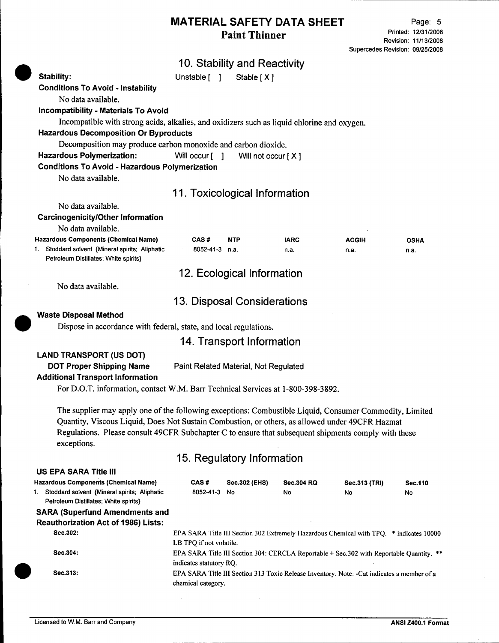Page: 5 Printed: 12/31/2008 Revision: 11/13/2008 Supercedes Revision: 09/25/2008

# 10. Stability and Reactivity

Stability: Unstable [ ] Stable [ X ] Conditions To Avoid - Instability No data available. Incompatibility - Materials To Avoid Incompatible with strong acids, alkalies, and oxidizers such as liquid chlorine and oxygen. Hazardous Decomposition Or Byproducts Decomposition may produce carbon monoxide and carbon dioxide. Hazardous Polymerization: Will occur [ ] Will not occur [ X ] Conditions To Avoid - Hazardous Polymerization No data available. **•** 11. Toxicological Information No data available. Carcinogenicity/Other Information No data available. Hazardous Components (Chemical Name) 1. Stoddard solvent {Mineral spirits; Aliphatic Petroleum Distillates; White spirits} CAS # NTP 8052-41-3 n.a. IARC n.a. ACGIH n.a. OSHA n.a. **•** 12. Ecological Information No data available. 13. Disposal Considerations Waste Disposal Method Dispose in accordance with federal, state, and local regulations. 14. Transport Information LAND TRANSPORT (US DOT) DOT Proper Shipping Name Paint Related Material, Not Regulated Additional Transport Information For *D.D.T.* information, contact W.M. Barr Technical Services at 1-800-398-3892. The supplier may apply one of the following exceptions: Combustible Liquid, Consumer Commodity, Limited Quantity, Viscous Liquid, Does Not Sustain Combustion, or others, as allowed under 49CFR Hazmat Regulations. Please consult 49CFR Subchapter C to ensure that subsequent shipments comply with these exceptions. 15. Regulatory Information EPA SARA Title III Section 302 Extremely Hazardous Chemical with TPQ. \* indicates 10000 LB TPO if not volatile. EPA SARA Title III Section 304: CERCLA Reportable + Sec.302 with Reportable Quantity. \*\* indicates statutory RQ. EPA SARA Title III Section 313 Toxic Release Inventory. Note: -Cat indicates a member of a chemical category. US EPA SARA Title III Hazardous Components (Chemical Name) 1. Stoddard solvent {Mineral spirits; Aliphatic Petroleum Distillates; White spirits} SARA (Superfund Amendments and Reauthorization Act of 1986) Lists: Sec.302: Sec.304: Sec.313: CAS # Sec.302 (EHS) 8052-41-3 No Sec.304 RQ No Sec.313 (TRI) No Sec.110 No